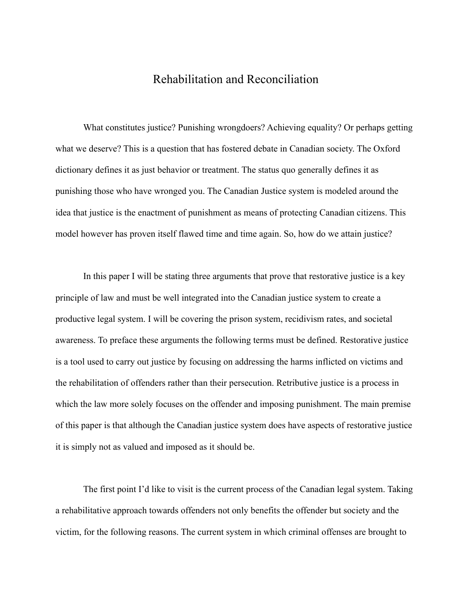## Rehabilitation and Reconciliation

What constitutes justice? Punishing wrongdoers? Achieving equality? Or perhaps getting what we deserve? This is a question that has fostered debate in Canadian society. The Oxford dictionary defines it as just behavior or treatment. The status quo generally defines it as punishing those who have wronged you. The Canadian Justice system is modeled around the idea that justice is the enactment of punishment as means of protecting Canadian citizens. This model however has proven itself flawed time and time again. So, how do we attain justice?

In this paper I will be stating three arguments that prove that restorative justice is a key principle of law and must be well integrated into the Canadian justice system to create a productive legal system. I will be covering the prison system, recidivism rates, and societal awareness. To preface these arguments the following terms must be defined. Restorative justice is a tool used to carry out justice by focusing on addressing the harms inflicted on victims and the rehabilitation of offenders rather than their persecution. Retributive justice is a process in which the law more solely focuses on the offender and imposing punishment. The main premise of this paper is that although the Canadian justice system does have aspects of restorative justice it is simply not as valued and imposed as it should be.

The first point I'd like to visit is the current process of the Canadian legal system. Taking a rehabilitative approach towards offenders not only benefits the offender but society and the victim, for the following reasons. The current system in which criminal offenses are brought to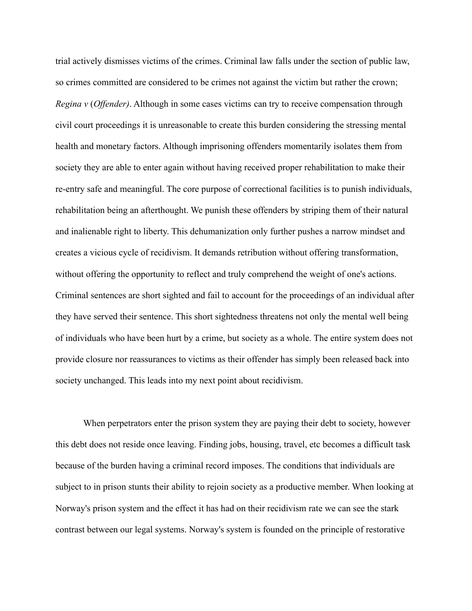trial actively dismisses victims of the crimes. Criminal law falls under the section of public law, so crimes committed are considered to be crimes not against the victim but rather the crown; *Regina v* (*Offender)*. Although in some cases victims can try to receive compensation through civil court proceedings it is unreasonable to create this burden considering the stressing mental health and monetary factors. Although imprisoning offenders momentarily isolates them from society they are able to enter again without having received proper rehabilitation to make their re-entry safe and meaningful. The core purpose of correctional facilities is to punish individuals, rehabilitation being an afterthought. We punish these offenders by striping them of their natural and inalienable right to liberty. This dehumanization only further pushes a narrow mindset and creates a vicious cycle of recidivism. It demands retribution without offering transformation, without offering the opportunity to reflect and truly comprehend the weight of one's actions. Criminal sentences are short sighted and fail to account for the proceedings of an individual after they have served their sentence. This short sightedness threatens not only the mental well being of individuals who have been hurt by a crime, but society as a whole. The entire system does not provide closure nor reassurances to victims as their offender has simply been released back into society unchanged. This leads into my next point about recidivism.

When perpetrators enter the prison system they are paying their debt to society, however this debt does not reside once leaving. Finding jobs, housing, travel, etc becomes a difficult task because of the burden having a criminal record imposes. The conditions that individuals are subject to in prison stunts their ability to rejoin society as a productive member. When looking at Norway's prison system and the effect it has had on their recidivism rate we can see the stark contrast between our legal systems. Norway's system is founded on the principle of restorative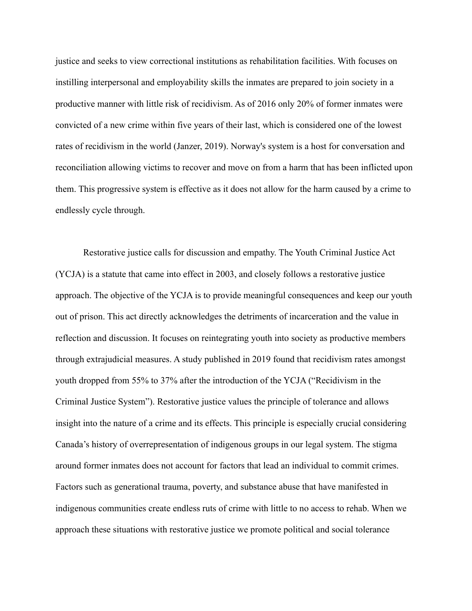justice and seeks to view correctional institutions as rehabilitation facilities. With focuses on instilling interpersonal and employability skills the inmates are prepared to join society in a productive manner with little risk of recidivism. As of 2016 only 20% of former inmates were convicted of a new crime within five years of their last, which is considered one of the lowest rates of recidivism in the world (Janzer, 2019). Norway's system is a host for conversation and reconciliation allowing victims to recover and move on from a harm that has been inflicted upon them. This progressive system is effective as it does not allow for the harm caused by a crime to endlessly cycle through.

Restorative justice calls for discussion and empathy. The Youth Criminal Justice Act (YCJA) is a statute that came into effect in 2003, and closely follows a restorative justice approach. The objective of the YCJA is to provide meaningful consequences and keep our youth out of prison. This act directly acknowledges the detriments of incarceration and the value in reflection and discussion. It focuses on reintegrating youth into society as productive members through extrajudicial measures. A study published in 2019 found that recidivism rates amongst youth dropped from 55% to 37% after the introduction of the YCJA ("Recidivism in the Criminal Justice System"). Restorative justice values the principle of tolerance and allows insight into the nature of a crime and its effects. This principle is especially crucial considering Canada's history of overrepresentation of indigenous groups in our legal system. The stigma around former inmates does not account for factors that lead an individual to commit crimes. Factors such as generational trauma, poverty, and substance abuse that have manifested in indigenous communities create endless ruts of crime with little to no access to rehab. When we approach these situations with restorative justice we promote political and social tolerance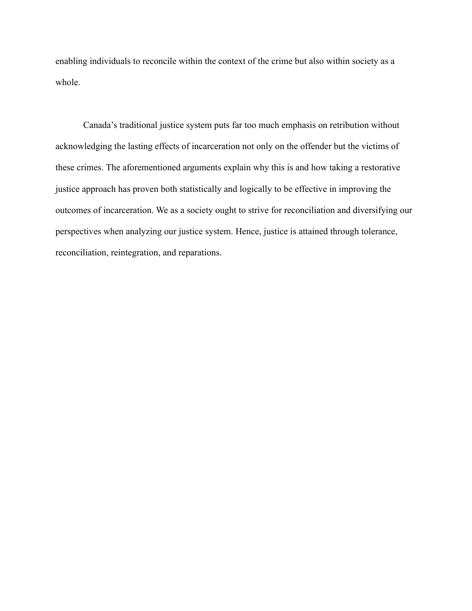enabling individuals to reconcile within the context of the crime but also within society as a whole.

Canada's traditional justice system puts far too much emphasis on retribution without acknowledging the lasting effects of incarceration not only on the offender but the victims of these crimes. The aforementioned arguments explain why this is and how taking a restorative justice approach has proven both statistically and logically to be effective in improving the outcomes of incarceration. We as a society ought to strive for reconciliation and diversifying our perspectives when analyzing our justice system. Hence, justice is attained through tolerance, reconciliation, reintegration, and reparations.